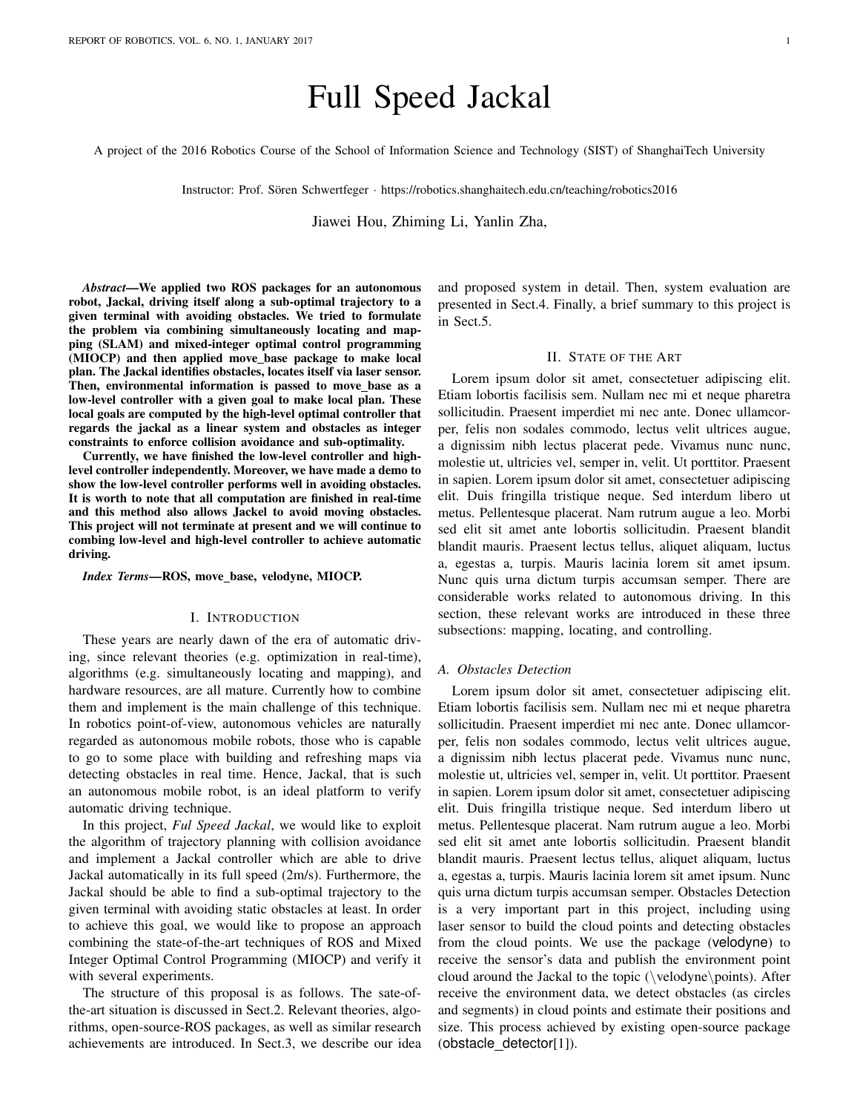# Full Speed Jackal

A project of the 2016 Robotics Course of the School of Information Science and Technology (SIST) of ShanghaiTech University

Instructor: Prof. Sören Schwertfeger · https://robotics.shanghaitech.edu.cn/teaching/robotics2016

Jiawei Hou, Zhiming Li, Yanlin Zha,

*Abstract*—We applied two ROS packages for an autonomous robot, Jackal, driving itself along a sub-optimal trajectory to a given terminal with avoiding obstacles. We tried to formulate the problem via combining simultaneously locating and mapping (SLAM) and mixed-integer optimal control programming (MIOCP) and then applied move base package to make local plan. The Jackal identifies obstacles, locates itself via laser sensor. Then, environmental information is passed to move base as a low-level controller with a given goal to make local plan. These local goals are computed by the high-level optimal controller that regards the jackal as a linear system and obstacles as integer constraints to enforce collision avoidance and sub-optimality.

Currently, we have finished the low-level controller and highlevel controller independently. Moreover, we have made a demo to show the low-level controller performs well in avoiding obstacles. It is worth to note that all computation are finished in real-time and this method also allows Jackel to avoid moving obstacles. This project will not terminate at present and we will continue to combing low-level and high-level controller to achieve automatic driving.

*Index Terms*—ROS, move\_base, velodyne, MIOCP.

#### I. INTRODUCTION

These years are nearly dawn of the era of automatic driving, since relevant theories (e.g. optimization in real-time), algorithms (e.g. simultaneously locating and mapping), and hardware resources, are all mature. Currently how to combine them and implement is the main challenge of this technique. In robotics point-of-view, autonomous vehicles are naturally regarded as autonomous mobile robots, those who is capable to go to some place with building and refreshing maps via detecting obstacles in real time. Hence, Jackal, that is such an autonomous mobile robot, is an ideal platform to verify automatic driving technique.

In this project, *Ful Speed Jackal*, we would like to exploit the algorithm of trajectory planning with collision avoidance and implement a Jackal controller which are able to drive Jackal automatically in its full speed (2m/s). Furthermore, the Jackal should be able to find a sub-optimal trajectory to the given terminal with avoiding static obstacles at least. In order to achieve this goal, we would like to propose an approach combining the state-of-the-art techniques of ROS and Mixed Integer Optimal Control Programming (MIOCP) and verify it with several experiments.

The structure of this proposal is as follows. The sate-ofthe-art situation is discussed in Sect.2. Relevant theories, algorithms, open-source-ROS packages, as well as similar research achievements are introduced. In Sect.3, we describe our idea and proposed system in detail. Then, system evaluation are presented in Sect.4. Finally, a brief summary to this project is in Sect.5.

## II. STATE OF THE ART

Lorem ipsum dolor sit amet, consectetuer adipiscing elit. Etiam lobortis facilisis sem. Nullam nec mi et neque pharetra sollicitudin. Praesent imperdiet mi nec ante. Donec ullamcorper, felis non sodales commodo, lectus velit ultrices augue, a dignissim nibh lectus placerat pede. Vivamus nunc nunc, molestie ut, ultricies vel, semper in, velit. Ut porttitor. Praesent in sapien. Lorem ipsum dolor sit amet, consectetuer adipiscing elit. Duis fringilla tristique neque. Sed interdum libero ut metus. Pellentesque placerat. Nam rutrum augue a leo. Morbi sed elit sit amet ante lobortis sollicitudin. Praesent blandit blandit mauris. Praesent lectus tellus, aliquet aliquam, luctus a, egestas a, turpis. Mauris lacinia lorem sit amet ipsum. Nunc quis urna dictum turpis accumsan semper. There are considerable works related to autonomous driving. In this section, these relevant works are introduced in these three subsections: mapping, locating, and controlling.

#### *A. Obstacles Detection*

Lorem ipsum dolor sit amet, consectetuer adipiscing elit. Etiam lobortis facilisis sem. Nullam nec mi et neque pharetra sollicitudin. Praesent imperdiet mi nec ante. Donec ullamcorper, felis non sodales commodo, lectus velit ultrices augue, a dignissim nibh lectus placerat pede. Vivamus nunc nunc, molestie ut, ultricies vel, semper in, velit. Ut porttitor. Praesent in sapien. Lorem ipsum dolor sit amet, consectetuer adipiscing elit. Duis fringilla tristique neque. Sed interdum libero ut metus. Pellentesque placerat. Nam rutrum augue a leo. Morbi sed elit sit amet ante lobortis sollicitudin. Praesent blandit blandit mauris. Praesent lectus tellus, aliquet aliquam, luctus a, egestas a, turpis. Mauris lacinia lorem sit amet ipsum. Nunc quis urna dictum turpis accumsan semper. Obstacles Detection is a very important part in this project, including using laser sensor to build the cloud points and detecting obstacles from the cloud points. We use the package (velodyne) to receive the sensor's data and publish the environment point cloud around the Jackal to the topic (\velodyne\points). After receive the environment data, we detect obstacles (as circles and segments) in cloud points and estimate their positions and size. This process achieved by existing open-source package (obstacle detector[1]).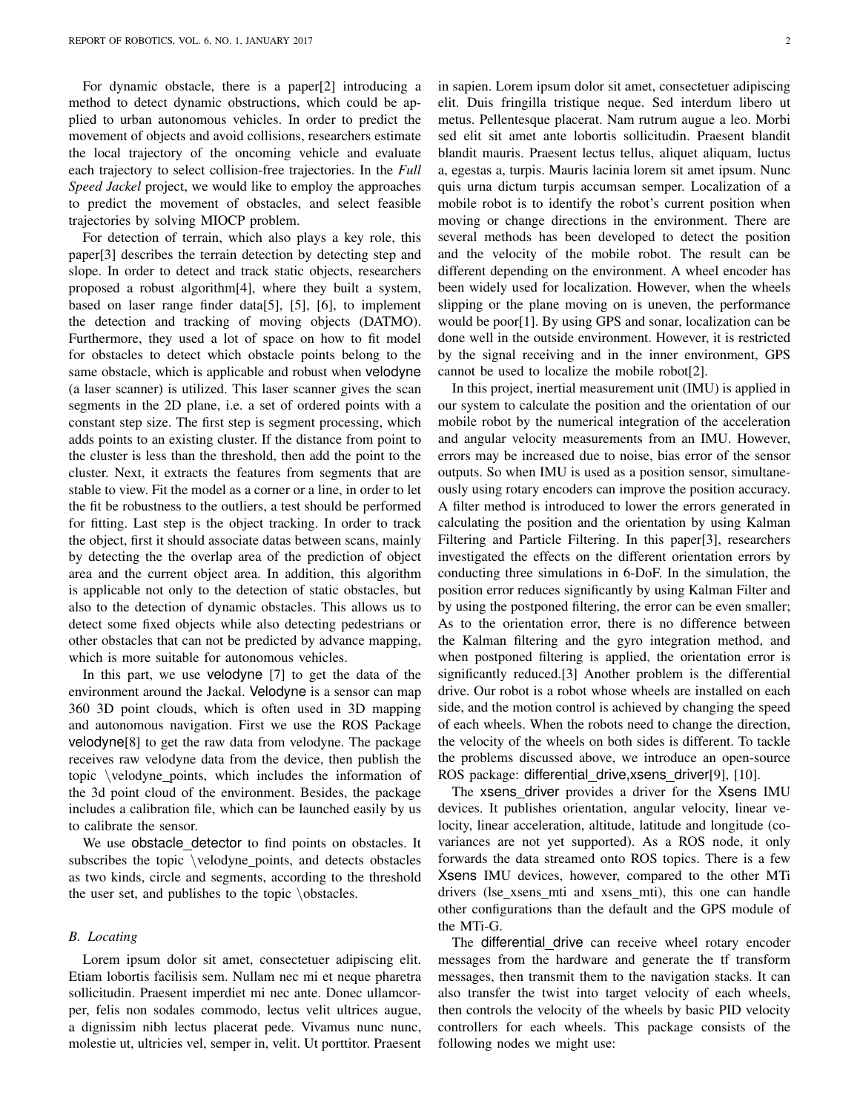For dynamic obstacle, there is a paper[2] introducing a method to detect dynamic obstructions, which could be applied to urban autonomous vehicles. In order to predict the movement of objects and avoid collisions, researchers estimate the local trajectory of the oncoming vehicle and evaluate each trajectory to select collision-free trajectories. In the *Full Speed Jackel* project, we would like to employ the approaches to predict the movement of obstacles, and select feasible trajectories by solving MIOCP problem.

For detection of terrain, which also plays a key role, this paper[3] describes the terrain detection by detecting step and slope. In order to detect and track static objects, researchers proposed a robust algorithm[4], where they built a system, based on laser range finder data[5], [5], [6], to implement the detection and tracking of moving objects (DATMO). Furthermore, they used a lot of space on how to fit model for obstacles to detect which obstacle points belong to the same obstacle, which is applicable and robust when velodyne (a laser scanner) is utilized. This laser scanner gives the scan segments in the 2D plane, i.e. a set of ordered points with a constant step size. The first step is segment processing, which adds points to an existing cluster. If the distance from point to the cluster is less than the threshold, then add the point to the cluster. Next, it extracts the features from segments that are stable to view. Fit the model as a corner or a line, in order to let the fit be robustness to the outliers, a test should be performed for fitting. Last step is the object tracking. In order to track the object, first it should associate datas between scans, mainly by detecting the the overlap area of the prediction of object area and the current object area. In addition, this algorithm is applicable not only to the detection of static obstacles, but also to the detection of dynamic obstacles. This allows us to detect some fixed objects while also detecting pedestrians or other obstacles that can not be predicted by advance mapping, which is more suitable for autonomous vehicles.

In this part, we use velodyne [7] to get the data of the environment around the Jackal. Velodyne is a sensor can map 360 3D point clouds, which is often used in 3D mapping and autonomous navigation. First we use the ROS Package velodyne[8] to get the raw data from velodyne. The package receives raw velodyne data from the device, then publish the topic \velodyne points, which includes the information of the 3d point cloud of the environment. Besides, the package includes a calibration file, which can be launched easily by us to calibrate the sensor.

We use obstacle detector to find points on obstacles. It subscribes the topic \velodyne points, and detects obstacles as two kinds, circle and segments, according to the threshold the user set, and publishes to the topic \obstacles.

## *B. Locating*

Lorem ipsum dolor sit amet, consectetuer adipiscing elit. Etiam lobortis facilisis sem. Nullam nec mi et neque pharetra sollicitudin. Praesent imperdiet mi nec ante. Donec ullamcorper, felis non sodales commodo, lectus velit ultrices augue, a dignissim nibh lectus placerat pede. Vivamus nunc nunc, molestie ut, ultricies vel, semper in, velit. Ut porttitor. Praesent in sapien. Lorem ipsum dolor sit amet, consectetuer adipiscing elit. Duis fringilla tristique neque. Sed interdum libero ut metus. Pellentesque placerat. Nam rutrum augue a leo. Morbi sed elit sit amet ante lobortis sollicitudin. Praesent blandit blandit mauris. Praesent lectus tellus, aliquet aliquam, luctus a, egestas a, turpis. Mauris lacinia lorem sit amet ipsum. Nunc quis urna dictum turpis accumsan semper. Localization of a mobile robot is to identify the robot's current position when moving or change directions in the environment. There are several methods has been developed to detect the position and the velocity of the mobile robot. The result can be different depending on the environment. A wheel encoder has been widely used for localization. However, when the wheels slipping or the plane moving on is uneven, the performance would be poor[1]. By using GPS and sonar, localization can be done well in the outside environment. However, it is restricted by the signal receiving and in the inner environment, GPS cannot be used to localize the mobile robot[2].

In this project, inertial measurement unit (IMU) is applied in our system to calculate the position and the orientation of our mobile robot by the numerical integration of the acceleration and angular velocity measurements from an IMU. However, errors may be increased due to noise, bias error of the sensor outputs. So when IMU is used as a position sensor, simultaneously using rotary encoders can improve the position accuracy. A filter method is introduced to lower the errors generated in calculating the position and the orientation by using Kalman Filtering and Particle Filtering. In this paper[3], researchers investigated the effects on the different orientation errors by conducting three simulations in 6-DoF. In the simulation, the position error reduces significantly by using Kalman Filter and by using the postponed filtering, the error can be even smaller; As to the orientation error, there is no difference between the Kalman filtering and the gyro integration method, and when postponed filtering is applied, the orientation error is significantly reduced.[3] Another problem is the differential drive. Our robot is a robot whose wheels are installed on each side, and the motion control is achieved by changing the speed of each wheels. When the robots need to change the direction, the velocity of the wheels on both sides is different. To tackle the problems discussed above, we introduce an open-source ROS package: differential drive,xsens driver[9], [10].

The xsens driver provides a driver for the Xsens IMU devices. It publishes orientation, angular velocity, linear velocity, linear acceleration, altitude, latitude and longitude (covariances are not yet supported). As a ROS node, it only forwards the data streamed onto ROS topics. There is a few Xsens IMU devices, however, compared to the other MTi drivers (lse xsens mti and xsens mti), this one can handle other configurations than the default and the GPS module of the MTi-G.

The differential drive can receive wheel rotary encoder messages from the hardware and generate the tf transform messages, then transmit them to the navigation stacks. It can also transfer the twist into target velocity of each wheels, then controls the velocity of the wheels by basic PID velocity controllers for each wheels. This package consists of the following nodes we might use: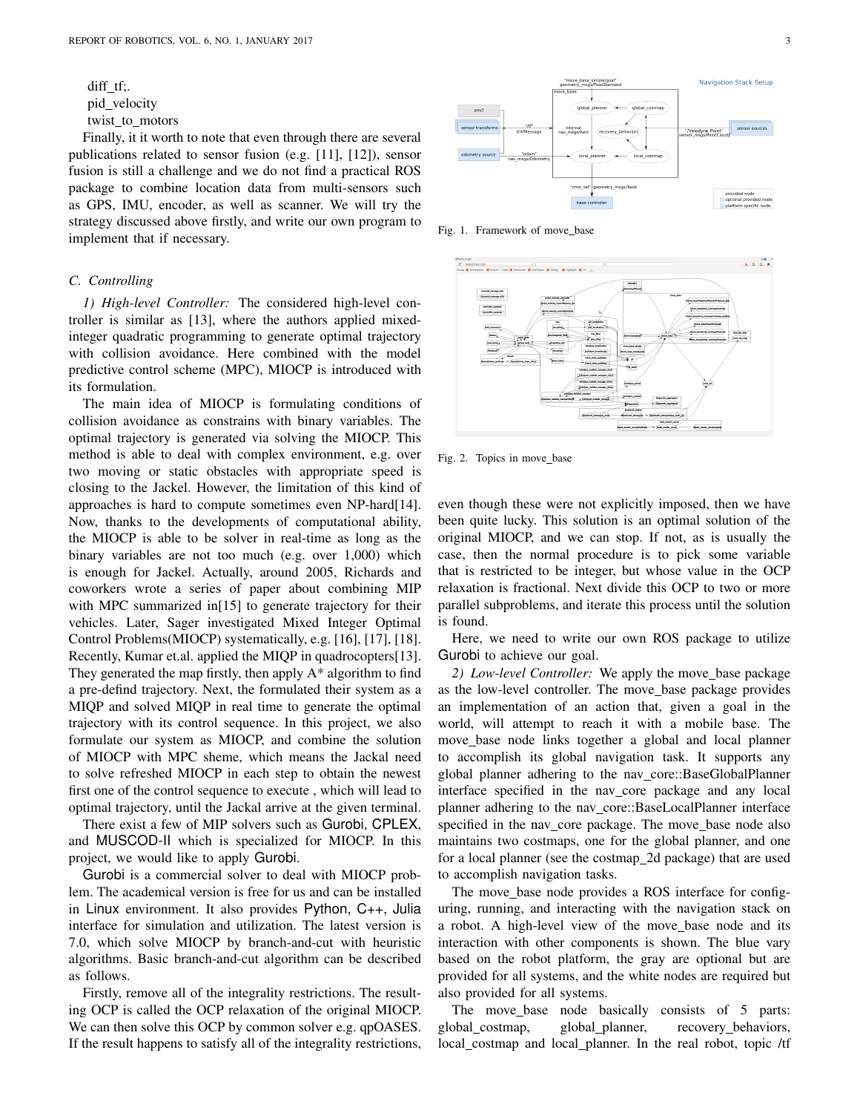diff\_tf;. pid velocity twist\_to\_motors

Finally, it it worth to note that even through there are several publications related to sensor fusion (e.g. [11], [12]), sensor fusion is still a challenge and we do not find a practical ROS package to combine location data from multi-sensors such as GPS, IMU, encoder, as well as scanner. We will try the strategy discussed above firstly, and write our own program to implement that if necessary.

### *C. Controlling*

*1) High-level Controller:* The considered high-level controller is similar as [13], where the authors applied mixedinteger quadratic programming to generate optimal trajectory with collision avoidance. Here combined with the model predictive control scheme (MPC), MIOCP is introduced with its formulation.

The main idea of MIOCP is formulating conditions of collision avoidance as constrains with binary variables. The optimal trajectory is generated via solving the MIOCP. This method is able to deal with complex environment, e.g. over two moving or static obstacles with appropriate speed is closing to the Jackel. However, the limitation of this kind of approaches is hard to compute sometimes even NP-hard[14]. Now, thanks to the developments of computational ability, the MIOCP is able to be solver in real-time as long as the binary variables are not too much (e.g. over 1,000) which is enough for Jackel. Actually, around 2005, Richards and coworkers wrote a series of paper about combining MIP with MPC summarized in[15] to generate trajectory for their vehicles. Later, Sager investigated Mixed Integer Optimal Control Problems(MIOCP) systematically, e.g. [16], [17], [18]. Recently, Kumar et.al. applied the MIQP in quadrocopters[13]. They generated the map firstly, then apply  $A^*$  algorithm to find a pre-defind trajectory. Next, the formulated their system as a MIQP and solved MIQP in real time to generate the optimal trajectory with its control sequence. In this project, we also formulate our system as MIOCP, and combine the solution of MIOCP with MPC sheme, which means the Jackal need to solve refreshed MIOCP in each step to obtain the newest first one of the control sequence to execute , which will lead to optimal trajectory, until the Jackal arrive at the given terminal.

There exist a few of MIP solvers such as Gurobi, CPLEX, and MUSCOD-II which is specialized for MIOCP. In this project, we would like to apply Gurobi.

Gurobi is a commercial solver to deal with MIOCP problem. The academical version is free for us and can be installed in Linux environment. It also provides Python, C++, Julia interface for simulation and utilization. The latest version is 7.0, which solve MIOCP by branch-and-cut with heuristic algorithms. Basic branch-and-cut algorithm can be described as follows.

Firstly, remove all of the integrality restrictions. The resulting OCP is called the OCP relaxation of the original MIOCP. We can then solve this OCP by common solver e.g. qpOASES. If the result happens to satisfy all of the integrality restrictions,



Fig. 1. Framework of move\_base



Fig. 2. Topics in move base

even though these were not explicitly imposed, then we have been quite lucky. This solution is an optimal solution of the original MIOCP, and we can stop. If not, as is usually the case, then the normal procedure is to pick some variable that is restricted to be integer, but whose value in the OCP relaxation is fractional. Next divide this OCP to two or more parallel subproblems, and iterate this process until the solution is found.

Here, we need to write our own ROS package to utilize Gurobi to achieve our goal.

2) Low-level Controller: We apply the move\_base package as the low-level controller. The move base package provides an implementation of an action that, given a goal in the world, will attempt to reach it with a mobile base. The move base node links together a global and local planner to accomplish its global navigation task. It supports any global planner adhering to the nav\_core::BaseGlobalPlanner interface specified in the nav core package and any local planner adhering to the nav core::BaseLocalPlanner interface specified in the nav\_core package. The move\_base node also maintains two costmaps, one for the global planner, and one for a local planner (see the costmap\_2d package) that are used to accomplish navigation tasks.

The move base node provides a ROS interface for configuring, running, and interacting with the navigation stack on a robot. A high-level view of the move base node and its interaction with other components is shown. The blue vary based on the robot platform, the gray are optional but are provided for all systems, and the white nodes are required but also provided for all systems.

The move\_base node basically consists of 5 parts: global costmap, global planner, recovery behaviors, local\_costmap and local\_planner. In the real robot, topic /tf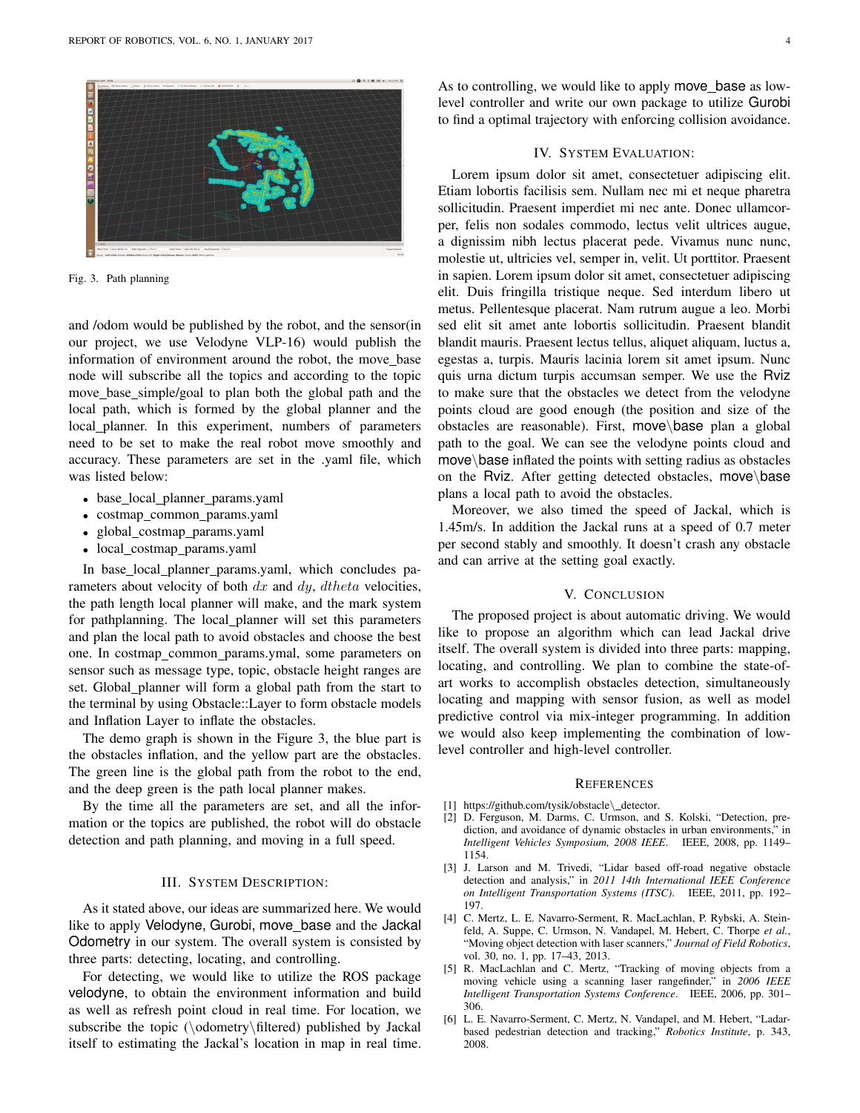

Fig. 3. Path planning

and /odom would be published by the robot, and the sensor(in our project, we use Velodyne VLP-16) would publish the information of environment around the robot, the move base node will subscribe all the topics and according to the topic move base simple/goal to plan both the global path and the local path, which is formed by the global planner and the local planner. In this experiment, numbers of parameters need to be set to make the real robot move smoothly and accuracy. These parameters are set in the .yaml file, which was listed below:

- base\_local\_planner\_params.yaml
- costmap\_common\_params.yaml
- global costmap params.yaml
- local\_costmap\_params.yaml

In base local planner params.yaml, which concludes parameters about velocity of both  $dx$  and  $dy$ ,  $dtheta$  velocities, the path length local planner will make, and the mark system for pathplanning. The local planner will set this parameters and plan the local path to avoid obstacles and choose the best one. In costmap\_common\_params.ymal, some parameters on sensor such as message type, topic, obstacle height ranges are set. Global\_planner will form a global path from the start to the terminal by using Obstacle::Layer to form obstacle models and Inflation Layer to inflate the obstacles.

The demo graph is shown in the Figure 3, the blue part is the obstacles inflation, and the yellow part are the obstacles. The green line is the global path from the robot to the end, and the deep green is the path local planner makes.

By the time all the parameters are set, and all the information or the topics are published, the robot will do obstacle detection and path planning, and moving in a full speed.

## III. SYSTEM DESCRIPTION:

As it stated above, our ideas are summarized here. We would like to apply Velodyne, Gurobi, move base and the Jackal Odometry in our system. The overall system is consisted by three parts: detecting, locating, and controlling.

For detecting, we would like to utilize the ROS package velodyne, to obtain the environment information and build as well as refresh point cloud in real time. For location, we subscribe the topic (\odometry\filtered) published by Jackal itself to estimating the Jackal's location in map in real time. As to controlling, we would like to apply move\_base as lowlevel controller and write our own package to utilize Gurobi to find a optimal trajectory with enforcing collision avoidance.

# IV. SYSTEM EVALUATION:

Lorem ipsum dolor sit amet, consectetuer adipiscing elit. Etiam lobortis facilisis sem. Nullam nec mi et neque pharetra sollicitudin. Praesent imperdiet mi nec ante. Donec ullamcorper, felis non sodales commodo, lectus velit ultrices augue, a dignissim nibh lectus placerat pede. Vivamus nunc nunc, molestie ut, ultricies vel, semper in, velit. Ut porttitor. Praesent in sapien. Lorem ipsum dolor sit amet, consectetuer adipiscing elit. Duis fringilla tristique neque. Sed interdum libero ut metus. Pellentesque placerat. Nam rutrum augue a leo. Morbi sed elit sit amet ante lobortis sollicitudin. Praesent blandit blandit mauris. Praesent lectus tellus, aliquet aliquam, luctus a, egestas a, turpis. Mauris lacinia lorem sit amet ipsum. Nunc quis urna dictum turpis accumsan semper. We use the Rviz to make sure that the obstacles we detect from the velodyne points cloud are good enough (the position and size of the obstacles are reasonable). First, move\base plan a global path to the goal. We can see the velodyne points cloud and move\base inflated the points with setting radius as obstacles on the Rviz. After getting detected obstacles, move\base plans a local path to avoid the obstacles.

Moreover, we also timed the speed of Jackal, which is 1.45m/s. In addition the Jackal runs at a speed of 0.7 meter per second stably and smoothly. It doesn't crash any obstacle and can arrive at the setting goal exactly.

## V. CONCLUSION

The proposed project is about automatic driving. We would like to propose an algorithm which can lead Jackal drive itself. The overall system is divided into three parts: mapping, locating, and controlling. We plan to combine the state-ofart works to accomplish obstacles detection, simultaneously locating and mapping with sensor fusion, as well as model predictive control via mix-integer programming. In addition we would also keep implementing the combination of lowlevel controller and high-level controller.

#### **REFERENCES**

- [1] https://github.com/tysik/obstacle\\_detector.
- [2] D. Ferguson, M. Darms, C. Urmson, and S. Kolski, "Detection, prediction, and avoidance of dynamic obstacles in urban environments," in *Intelligent Vehicles Symposium, 2008 IEEE*. IEEE, 2008, pp. 1149– 1154.
- [3] J. Larson and M. Trivedi, "Lidar based off-road negative obstacle detection and analysis," in *2011 14th International IEEE Conference on Intelligent Transportation Systems (ITSC)*. IEEE, 2011, pp. 192– 197.
- [4] C. Mertz, L. E. Navarro-Serment, R. MacLachlan, P. Rybski, A. Steinfeld, A. Suppe, C. Urmson, N. Vandapel, M. Hebert, C. Thorpe *et al.*, "Moving object detection with laser scanners," *Journal of Field Robotics*, vol. 30, no. 1, pp. 17–43, 2013.
- [5] R. MacLachlan and C. Mertz, "Tracking of moving objects from a moving vehicle using a scanning laser rangefinder," in *2006 IEEE Intelligent Transportation Systems Conference*. IEEE, 2006, pp. 301– 306.
- [6] L. E. Navarro-Serment, C. Mertz, N. Vandapel, and M. Hebert, "Ladarbased pedestrian detection and tracking," *Robotics Institute*, p. 343, 2008.